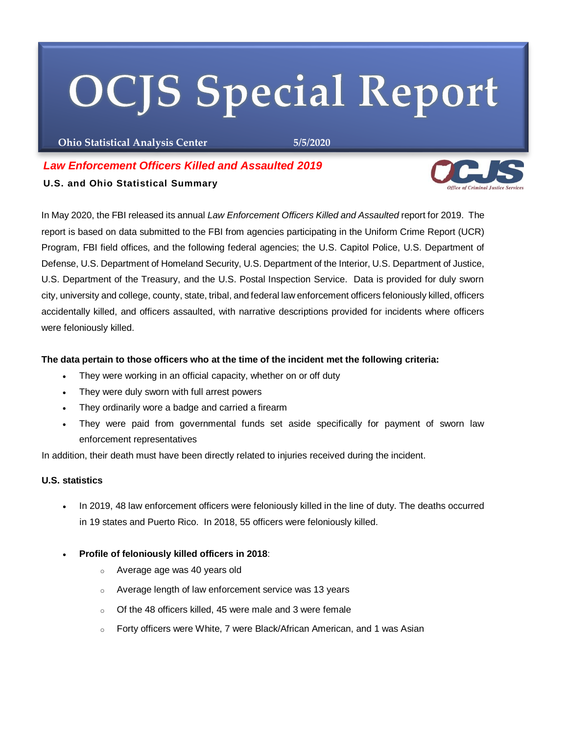# **OCJS Special Report**

**Ohio Statistical Analysis Center 5/5/2020**

# *Law Enforcement Officers Killed and Assaulted 2019*

## **U.S. and Ohio Statistical Summary**

In May 2020, the FBI released its annual *Law Enforcement Officers Killed and Assaulted* report for 2019. The report is based on data submitted to the FBI from agencies participating in the Uniform Crime Report (UCR) Program, FBI field offices, and the following federal agencies; the U.S. Capitol Police, U.S. Department of Defense, U.S. Department of Homeland Security, U.S. Department of the Interior, U.S. Department of Justice, U.S. Department of the Treasury, and the U.S. Postal Inspection Service. Data is provided for duly sworn city, university and college, county, state, tribal, and federal law enforcement officers feloniously killed, officers accidentally killed, and officers assaulted, with narrative descriptions provided for incidents where officers were feloniously killed.

## **The data pertain to those officers who at the time of the incident met the following criteria:**

- They were working in an official capacity, whether on or off duty
- They were duly sworn with full arrest powers
- They ordinarily wore a badge and carried a firearm
- They were paid from governmental funds set aside specifically for payment of sworn law enforcement representatives

In addition, their death must have been directly related to injuries received during the incident.

#### **U.S. statistics**

- In 2019, 48 law enforcement officers were feloniously killed in the line of duty. The deaths occurred in 19 states and Puerto Rico. In 2018, 55 officers were feloniously killed.
- **Profile of feloniously killed officers in 2018**:
	- o Average age was 40 years old
	- o Average length of law enforcement service was 13 years
	- o Of the 48 officers killed, 45 were male and 3 were female
	- $\circ$  Forty officers were White, 7 were Black/African American, and 1 was Asian

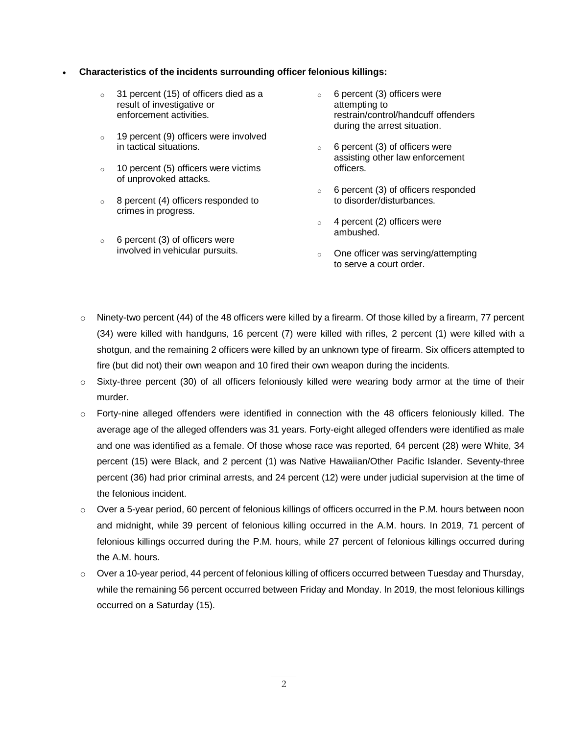#### **Characteristics of the incidents surrounding officer felonious killings:**

- o 31 percent (15) of officers died as a result of investigative or enforcement activities.
- o 19 percent (9) officers were involved in tactical situations.
- o 10 percent (5) officers were victims of unprovoked attacks.
- o 8 percent (4) officers responded to crimes in progress.
- $\circ$  6 percent (3) of officers were involved in vehicular pursuits.
- o 6 percent (3) officers were attempting to restrain/control/handcuff offenders during the arrest situation.
- $\circ$  6 percent (3) of officers were assisting other law enforcement officers.
- o 6 percent (3) of officers responded to disorder/disturbances.
- $\circ$  4 percent (2) officers were ambushed.
- $\circ$  One officer was serving/attempting to serve a court order.
- $\circ$  Ninety-two percent (44) of the 48 officers were killed by a firearm. Of those killed by a firearm, 77 percent (34) were killed with handguns, 16 percent (7) were killed with rifles, 2 percent (1) were killed with a shotgun, and the remaining 2 officers were killed by an unknown type of firearm. Six officers attempted to fire (but did not) their own weapon and 10 fired their own weapon during the incidents.
- o Sixty-three percent (30) of all officers feloniously killed were wearing body armor at the time of their murder.
- o Forty-nine alleged offenders were identified in connection with the 48 officers feloniously killed. The average age of the alleged offenders was 31 years. Forty-eight alleged offenders were identified as male and one was identified as a female. Of those whose race was reported, 64 percent (28) were White, 34 percent (15) were Black, and 2 percent (1) was Native Hawaiian/Other Pacific Islander. Seventy-three percent (36) had prior criminal arrests, and 24 percent (12) were under judicial supervision at the time of the felonious incident.
- o Over a 5-year period, 60 percent of felonious killings of officers occurred in the P.M. hours between noon and midnight, while 39 percent of felonious killing occurred in the A.M. hours. In 2019, 71 percent of felonious killings occurred during the P.M. hours, while 27 percent of felonious killings occurred during the A.M. hours.
- $\circ$  Over a 10-year period, 44 percent of felonious killing of officers occurred between Tuesday and Thursday, while the remaining 56 percent occurred between Friday and Monday. In 2019, the most felonious killings occurred on a Saturday (15).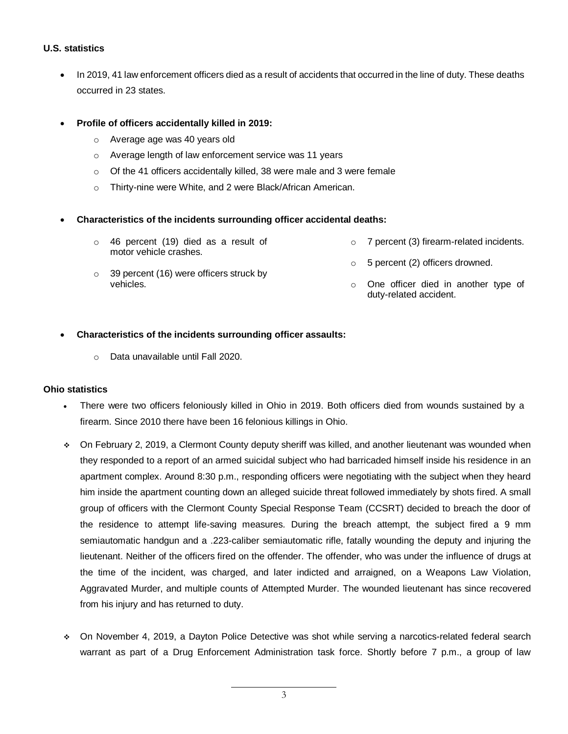#### **U.S. statistics**

- In 2019, 41 law enforcement officers died as a result of accidents that occurred in the line of duty. These deaths occurred in 23 states.
- **Profile of officers accidentally killed in 2019:**
	- o Average age was 40 years old
	- o Average length of law enforcement service was 11 years
	- o Of the 41 officers accidentally killed, 38 were male and 3 were female
	- o Thirty-nine were White, and 2 were Black/African American.

#### **Characteristics of the incidents surrounding officer accidental deaths:**

- o 46 percent (19) died as a result of motor vehicle crashes. 7 percent (3) firearm-related incidents.
- $\circ$  39 percent (16) were officers struck by vehicles. o 5 percent (2) officers drowned. o One officer died in another type of duty-related accident.
- **Characteristics of the incidents surrounding officer assaults:**
	- o Data unavailable until Fall 2020.

#### **Ohio statistics**

- There were two officers feloniously killed in Ohio in 2019. Both officers died from wounds sustained by a firearm. Since 2010 there have been 16 felonious killings in Ohio.
- On February 2, 2019, a Clermont County deputy sheriff was killed, and another lieutenant was wounded when they responded to a report of an armed suicidal subject who had barricaded himself inside his residence in an apartment complex. Around 8:30 p.m., responding officers were negotiating with the subject when they heard him inside the apartment counting down an alleged suicide threat followed immediately by shots fired. A small group of officers with the Clermont County Special Response Team (CCSRT) decided to breach the door of the residence to attempt life-saving measures. During the breach attempt, the subject fired a 9 mm semiautomatic handgun and a .223-caliber semiautomatic rifle, fatally wounding the deputy and injuring the lieutenant. Neither of the officers fired on the offender. The offender, who was under the influence of drugs at the time of the incident, was charged, and later indicted and arraigned, on a Weapons Law Violation, Aggravated Murder, and multiple counts of Attempted Murder. The wounded lieutenant has since recovered from his injury and has returned to duty.
- On November 4, 2019, a Dayton Police Detective was shot while serving a narcotics-related federal search warrant as part of a Drug Enforcement Administration task force. Shortly before 7 p.m., a group of law